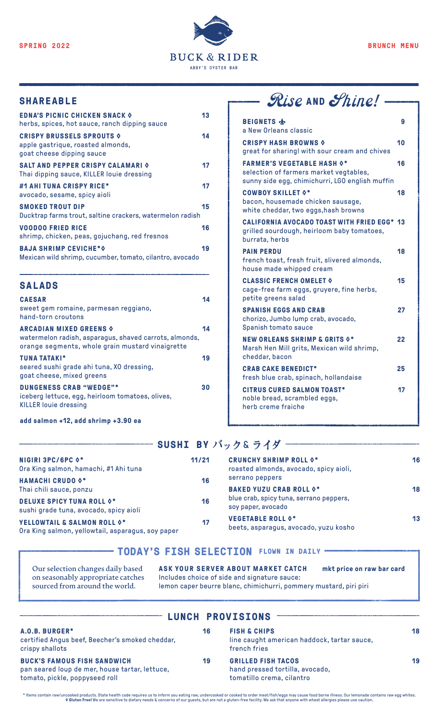

| <b>EDNA'S PICNIC CHICKEN SNACK O</b><br>herbs, spices, hot sauce, ranch dipping sauce                  | 13 |
|--------------------------------------------------------------------------------------------------------|----|
| <b>CRISPY BRUSSELS SPROUTS &amp;</b><br>apple gastrique, roasted almonds,<br>goat cheese dipping sauce | 14 |
| <b>SALT AND PEPPER CRISPY CALAMARI 0</b><br>Thai dipping sauce, KILLER louie dressing                  | 17 |
| #1 AHI TUNA CRISPY RICE*<br>avocado, sesame, spicy aioli                                               | 17 |
| <b>SMOKED TROUT DIP</b><br>Ducktrap farms trout, saltine crackers, watermelon radish                   | 15 |
| <b>VOODOO FRIED RICE</b><br>shrimp, chicken, peas, gojuchang, red fresnos                              | 16 |
| <b>BAJA SHRIMP CEVICHE*O</b><br>Mexican wild shrimp, cucumber, tomato, cilantro, avocado               | 19 |

| <b>SALADS</b>                                                                                                                                |    |
|----------------------------------------------------------------------------------------------------------------------------------------------|----|
| <b>CAESAR</b><br>sweet gem romaine, parmesan reggiano,<br>hand-torn croutons                                                                 | 14 |
| <b>ARCADIAN MIXED GREENS O</b><br>watermelon radish, asparagus, shaved carrots, almonds,<br>orange segments, whole grain mustard vinaigrette | 14 |
| <b>TUNA TATAKI*</b><br>seared sushi grade ahi tuna, XO dressing,<br>goat cheese, mixed greens                                                | 19 |
| <b>DUNGENESS CRAB "WEDGE"*</b><br>iceberg lettuce, egg, heirloom tomatoes, olives,<br><b>KILLER louie dressing</b>                           | 30 |
| add salmon +12, add shrimp +3.90 ea                                                                                                          |    |

## SHAREABLE **Rise AND** Shine!

| <b>BEIGNETS</b><br>a New Orleans classic                                                                                       | 9  |
|--------------------------------------------------------------------------------------------------------------------------------|----|
| <b>CRISPY HASH BROWNS O</b><br>great for sharing! with sour cream and chives                                                   | 10 |
| <b>FARMER'S VEGETABLE HASH 0*</b><br>selection of farmers market vegtables,<br>sunny side egg, chimichurri, LGO english muffin | 16 |
| <b>COWBOY SKILLET 0*</b><br>bacon, housemade chicken sausage,<br>white cheddar, two eggs, hash browns                          | 18 |
| <b>CALIFORNIA AVOCADO TOAST WITH FRIED EGG* 13</b><br>grilled sourdough, heirloom baby tomatoes,<br>burrata, herbs             |    |
| <b>PAIN PERDU</b><br>french toast, fresh fruit, slivered almonds,<br>house made whipped cream                                  | 18 |
| <b>CLASSIC FRENCH OMELET O</b><br>cage-free farm eggs, gruyere, fine herbs,<br>petite greens salad                             | 15 |
| <b>SPANISH EGGS AND CRAB</b><br>chorizo, Jumbo lump crab, avocado,<br>Spanish tomato sauce                                     | 27 |
| <b>NEW ORLEANS SHRIMP &amp; GRITS 0*</b><br>Marsh Hen Mill grits, Mexican wild shrimp,<br>cheddar, bacon                       | 22 |
| <b>CRAB CAKE BENEDICT*</b><br>fresh blue crab, spinach, hollandaise                                                            | 25 |
| <b>CITRUS CURED SALMON TOAST*</b><br>noble bread, scrambled eggs,<br>herb creme fraiche                                        | 17 |

#### **SUSHI BY バック** & **ライダ**

| 11/21 | <b>CRUNCHY SHRIMP ROLL 0*</b><br>roasted almonds, avocado, spicy aioli, | 16 |
|-------|-------------------------------------------------------------------------|----|
| 16    | serrano peppers                                                         |    |
|       | <b>BAKED YUZU CRAB ROLL 0*</b>                                          | 18 |
| 16    | blue crab, spicy tuna, serrano peppers,<br>soy paper, avocado           |    |
| 17    | <b>VEGETABLE ROLL 0*</b><br>beets, asparagus, avocado, yuzu kosho       | 13 |
|       |                                                                         |    |

#### **TODAY'S FISH SELECTION FLOWN IN DAILY**

**Our selection changes daily based on seasonably appropriate catches sourced from around the world.**

**ASK YOUR SERVER ABOUT MARKET CATCH mkt price on raw bar card** Includes choice of side and signature sauce: lemon caper beurre blanc, chimichurri, pommery mustard, piri piri

#### **A.O.B. BURGER\* 16**  certified Angus beef, Beecher's smoked cheddar, crispy shallots **BUCK'S FAMOUS FISH SANDWICH 19** pan seared loup de mer, house tartar, lettuce, tomato, pickle, poppyseed roll **FISH & CHIPS 18** line caught american haddock, tartar sauce, french fries **GRILLED FISH TACOS 19** hand pressed tortilla, avocado, tomatillo crema, cilantro **LUNCH PROVISIONS**

thems contain raw/uncooked products. State health code requires us to inform you eating raw, undercooked or cooked to order meat/fish/eggs may cause food borne illness. Our lemonade contains raw egg whites. والالعب Gluten